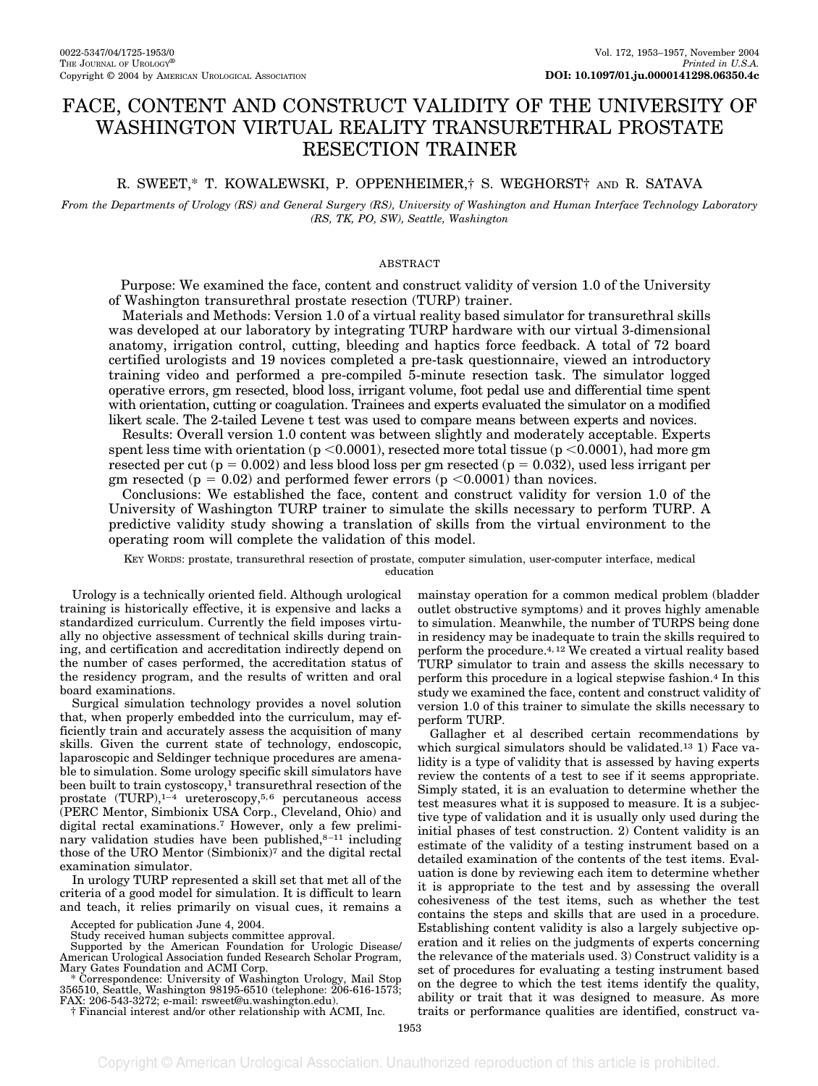# FACE, CONTENT AND CONSTRUCT VALIDITY OF THE UNIVERSITY OF WASHINGTON VIRTUAL REALITY TRANSURETHRAL PROSTATE RESECTION TRAINER

## R. SWEET,\* T. KOWALEWSKI, P. OPPENHEIMER,† S. WEGHORST† AND R. SATAVA

*From the Departments of Urology (RS) and General Surgery (RS), University of Washington and Human Interface Technology Laboratory (RS, TK, PO, SW), Seattle, Washington*

## ABSTRACT

Purpose: We examined the face, content and construct validity of version 1.0 of the University of Washington transurethral prostate resection (TURP) trainer.

Materials and Methods: Version 1.0 of a virtual reality based simulator for transurethral skills was developed at our laboratory by integrating TURP hardware with our virtual 3-dimensional anatomy, irrigation control, cutting, bleeding and haptics force feedback. A total of 72 board certified urologists and 19 novices completed a pre-task questionnaire, viewed an introductory training video and performed a pre-compiled 5-minute resection task. The simulator logged operative errors, gm resected, blood loss, irrigant volume, foot pedal use and differential time spent with orientation, cutting or coagulation. Trainees and experts evaluated the simulator on a modified likert scale. The 2-tailed Levene t test was used to compare means between experts and novices.

Results: Overall version 1.0 content was between slightly and moderately acceptable. Experts spent less time with orientation ( $p < 0.0001$ ), resected more total tissue ( $p < 0.0001$ ), had more gm resected per cut (p = 0.002) and less blood loss per gm resected (p = 0.032), used less irrigant per gm resected ( $p = 0.02$ ) and performed fewer errors ( $p \le 0.0001$ ) than novices.

Conclusions: We established the face, content and construct validity for version 1.0 of the University of Washington TURP trainer to simulate the skills necessary to perform TURP. A predictive validity study showing a translation of skills from the virtual environment to the operating room will complete the validation of this model.

KEY WORDS: prostate, transurethral resection of prostate, computer simulation, user-computer interface, medical education

Urology is a technically oriented field. Although urological training is historically effective, it is expensive and lacks a standardized curriculum. Currently the field imposes virtually no objective assessment of technical skills during training, and certification and accreditation indirectly depend on the number of cases performed, the accreditation status of the residency program, and the results of written and oral board examinations.

Surgical simulation technology provides a novel solution that, when properly embedded into the curriculum, may efficiently train and accurately assess the acquisition of many skills. Given the current state of technology, endoscopic, laparoscopic and Seldinger technique procedures are amenable to simulation. Some urology specific skill simulators have been built to train cystoscopy,<sup>1</sup> transurethral resection of the prostate (TURP), $1-4$  ureteroscopy, $5, 6$  percutaneous access (PERC Mentor, Simbionix USA Corp., Cleveland, Ohio) and digital rectal examinations.7 However, only a few preliminary validation studies have been published, $8-11$  including those of the URO Mentor  $(Simbionix)^7$  and the digital rectal examination simulator.

In urology TURP represented a skill set that met all of the criteria of a good model for simulation. It is difficult to learn and teach, it relies primarily on visual cues, it remains a

Accepted for publication June 4, 2004.

Study received human subjects committee approval.

Supported by the American Foundation for Urologic Disease/ American Urological Association funded Research Scholar Program, Mary Gates Foundation and ACMI Corp.

\* Correspondence: University of Washington Urology, Mail Stop 356510, Seattle, Washington 98195-6510 (telephone: 206-616-1573; FAX: 206-543-3272; e-mail: rsweet@u.washington.edu).

† Financial interest and/or other relationship with ACMI, Inc.

mainstay operation for a common medical problem (bladder outlet obstructive symptoms) and it proves highly amenable to simulation. Meanwhile, the number of TURPS being done in residency may be inadequate to train the skills required to perform the procedure.4, 12 We created a virtual reality based TURP simulator to train and assess the skills necessary to perform this procedure in a logical stepwise fashion.4 In this study we examined the face, content and construct validity of version 1.0 of this trainer to simulate the skills necessary to perform TURP.

Gallagher et al described certain recommendations by which surgical simulators should be validated.<sup>13</sup> 1) Face validity is a type of validity that is assessed by having experts review the contents of a test to see if it seems appropriate. Simply stated, it is an evaluation to determine whether the test measures what it is supposed to measure. It is a subjective type of validation and it is usually only used during the initial phases of test construction. 2) Content validity is an estimate of the validity of a testing instrument based on a detailed examination of the contents of the test items. Evaluation is done by reviewing each item to determine whether it is appropriate to the test and by assessing the overall cohesiveness of the test items, such as whether the test contains the steps and skills that are used in a procedure. Establishing content validity is also a largely subjective operation and it relies on the judgments of experts concerning the relevance of the materials used. 3) Construct validity is a set of procedures for evaluating a testing instrument based on the degree to which the test items identify the quality, ability or trait that it was designed to measure. As more traits or performance qualities are identified, construct va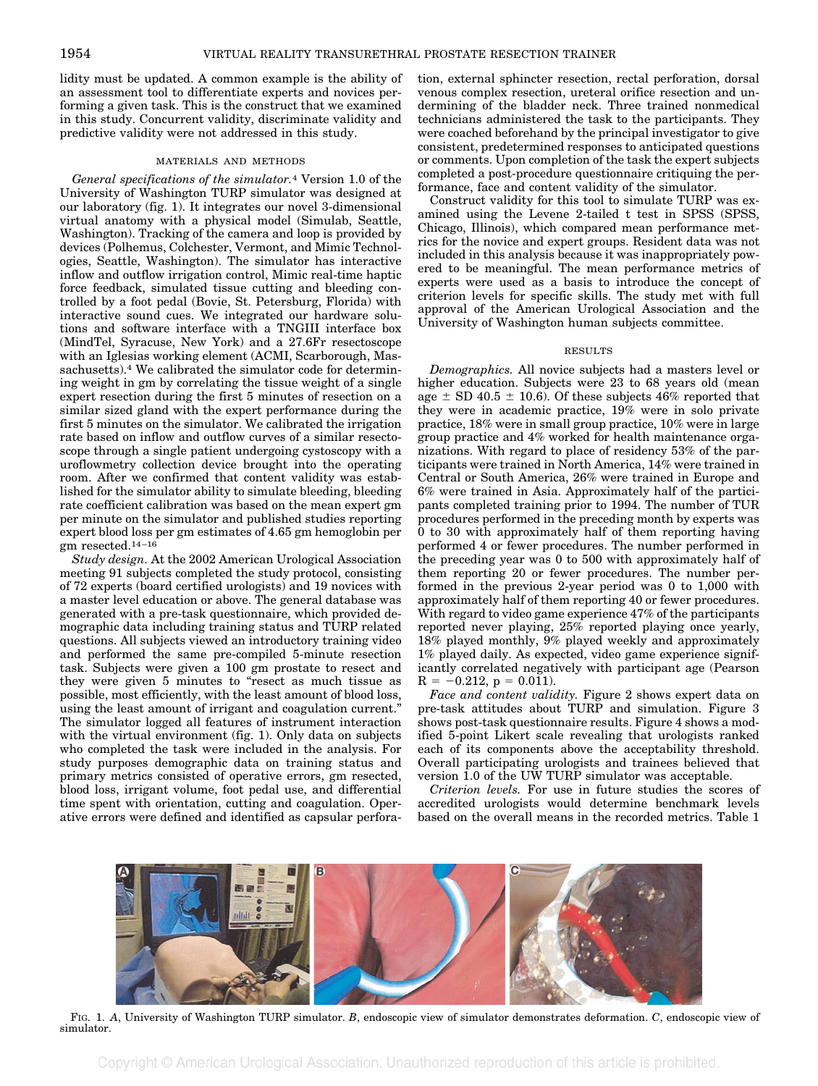lidity must be updated. A common example is the ability of an assessment tool to differentiate experts and novices performing a given task. This is the construct that we examined in this study. Concurrent validity, discriminate validity and predictive validity were not addressed in this study.

## MATERIALS AND METHODS

*General specifications of the simulator.*<sup>4</sup> Version 1.0 of the University of Washington TURP simulator was designed at our laboratory (fig. 1). It integrates our novel 3-dimensional virtual anatomy with a physical model (Simulab, Seattle, Washington). Tracking of the camera and loop is provided by devices (Polhemus, Colchester, Vermont, and Mimic Technologies, Seattle, Washington). The simulator has interactive inflow and outflow irrigation control, Mimic real-time haptic force feedback, simulated tissue cutting and bleeding controlled by a foot pedal (Bovie, St. Petersburg, Florida) with interactive sound cues. We integrated our hardware solutions and software interface with a TNGIII interface box (MindTel, Syracuse, New York) and a 27.6Fr resectoscope with an Iglesias working element (ACMI, Scarborough, Massachusetts).<sup>4</sup> We calibrated the simulator code for determining weight in gm by correlating the tissue weight of a single expert resection during the first 5 minutes of resection on a similar sized gland with the expert performance during the first 5 minutes on the simulator. We calibrated the irrigation rate based on inflow and outflow curves of a similar resectoscope through a single patient undergoing cystoscopy with a uroflowmetry collection device brought into the operating room. After we confirmed that content validity was established for the simulator ability to simulate bleeding, bleeding rate coefficient calibration was based on the mean expert gm per minute on the simulator and published studies reporting expert blood loss per gm estimates of 4.65 gm hemoglobin per gm resected.14 –16

*Study design.* At the2002 American Urological Association meeting 91 subjects completed the study protocol, consisting of 72 experts (board certified urologists) and 19 novices with a master level education or above. The general database was generated with a pre-task questionnaire, which provided demographic data including training status and TURP related questions. All subjects viewed an introductory training video and performed the same pre-compiled 5-minute resection task. Subjects were given a 100 gm prostate to resect and they were given 5 minutes to "resect as much tissue as possible, most efficiently, with the least amount of blood loss, using the least amount of irrigant and coagulation current.' The simulator logged all features of instrument interaction with the virtual environment (fig. 1). Only data on subjects who completed the task were included in the analysis. For study purposes demographic data on training status and primary metrics consisted of operative errors, gm resected, blood loss, irrigant volume, foot pedal use, and differential time spent with orientation, cutting and coagulation. Operative errors were defined and identified as capsular perforation, external sphincter resection, rectal perforation, dorsal venous complex resection, ureteral orifice resection and undermining of the bladder neck. Three trained nonmedical technicians administered the task to the participants. They were coached beforehand by the principal investigator to give consistent, predetermined responses to anticipated questions or comments. Upon completion of the task the expert subjects completed a post-procedure questionnaire critiquing the performance, face and content validity of the simulator.

Construct validity for this tool to simulate TURP was examined using the Levene 2-tailed t test in SPSS (SPSS, Chicago, Illinois), which compared mean performance metrics for the novice and expert groups. Resident data was not included in this analysis because it was inappropriately powered to be meaningful. The mean performance metrics of experts were used as a basis to introduce the concept of criterion levels for specific skills. The study met with full approval of the American Urological Association and the University of Washington human subjects committee.

## RESULTS

*Demographics.* All novice subjects had a masters level or higher education. Subjects were 23 to 68 years old (mean age  $\pm$  SD 40.5  $\pm$  10.6). Of these subjects 46% reported that they were in academic practice, 19% were in solo private practice, 18% were in small group practice, 10% were in large group practice and 4% worked for health maintenance organizations. With regard to place of residency 53% of the participants were trained in North America, 14% were trained in Central or South America, 26% were trained in Europe and 6% were trained in Asia. Approximately half of the participants completed training prior to 1994. The number of TUR procedures performed in the preceding month by experts was 0 to 30 with approximately half of them reporting having performed 4 or fewer procedures. The number performed in the preceding year was 0 to 500 with approximately half of them reporting 20 or fewer procedures. The number performed in the previous 2-year period was 0 to 1,000 with approximately half of them reporting 40 or fewer procedures. With regard to video game experience 47% of the participants reported never playing, 25% reported playing once yearly, 18% played monthly, 9% played weekly and approximately 1% played daily. As expected, video game experience significantly correlated negatively with participant age (Pearson  $R = -0.212$ ,  $p = 0.011$ ).

*Face and content validity.* Figure 2 shows expert data on pre-task attitudes about TURP and simulation. Figure 3 shows post-task questionnaire results. Figure 4 shows a modified 5-point Likert scale revealing that urologists ranked each of its components above the acceptability threshold. Overall participating urologists and trainees believed that version 1.0 of the UW TURP simulator was acceptable.

*Criterion levels*. For use in future studies the scores of accredited urologists would determine benchmark levels based on the overall means in the recorded metrics. Table 1



FIG. 1. *A*, University of Washington TURP simulator. *B*, endoscopic view of simulator demonstrates deformation. *C*, endoscopic view of simulator.

Copyright © American Urological Association. Unauthorized reproduction of this article is prohibited.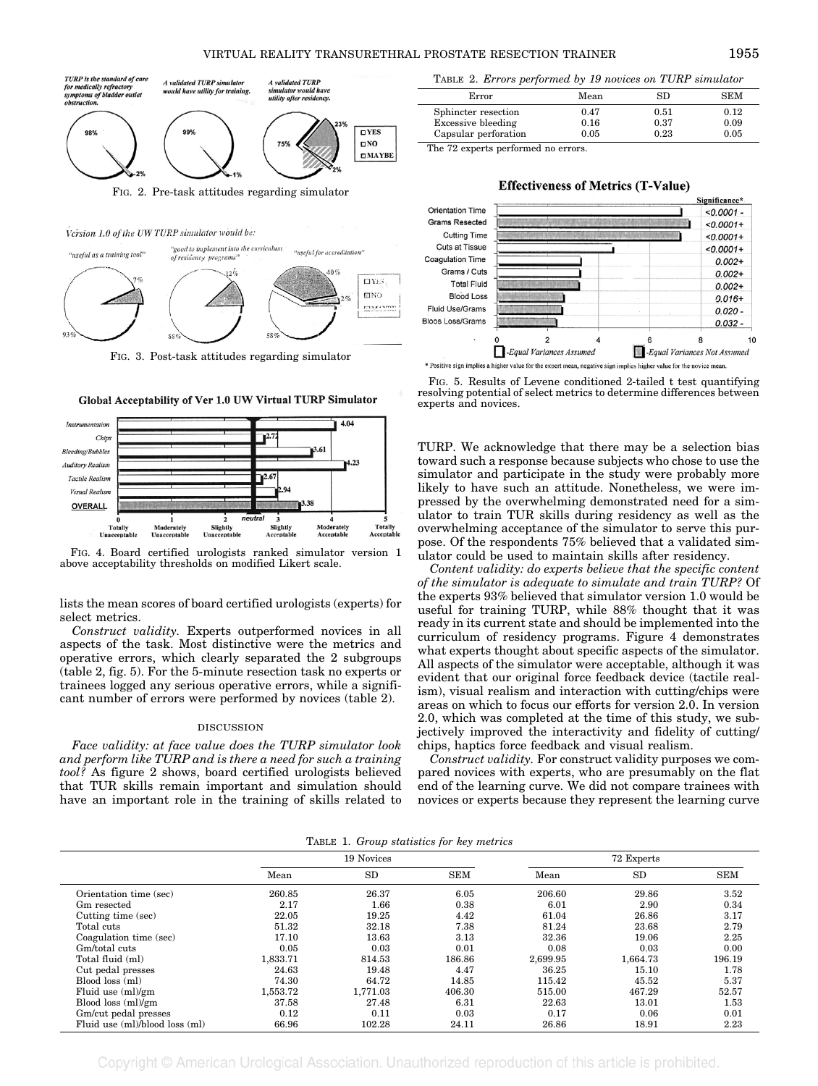

FIG. 2. Pre-task attitudes regarding simulator

Version 1.0 of the UW TURP simulator would be:



FIG. 3. Post-task attitudes regarding simulator



Global Acceptability of Ver 1.0 UW Virtual TURP Simulator



lists the mean scores of board certified urologists (experts) for select metrics.

*Construct validity.* Experts outperformed novices in all aspects of the task. Most distinctive were the metrics and operative errors, which clearly separated the 2 subgroups (table 2, fig. 5). For the 5-minute resection task no experts or trainees logged any serious operative errors, while a significant number of errors were performed by novices (table 2).

### DISCUSSION

*Face validity: at face value does the TURP simulator look and perform like TURP and is there a need for such a training tool?* As figure 2 shows, board certified urologists believed that TUR skills remain important and simulation should have an important role in the training of skills related to

|  |  | TABLE 2. Errors performed by 19 novices on TURP simulator |  |  |  |  |  |  |
|--|--|-----------------------------------------------------------|--|--|--|--|--|--|
|--|--|-----------------------------------------------------------|--|--|--|--|--|--|

| Error                                                                  | Mean | SD   | <b>SEM</b> |
|------------------------------------------------------------------------|------|------|------------|
| Sphincter resection                                                    | 0.47 | 0.51 | 0.12       |
| Excessive bleeding                                                     | 0.16 | 0.37 | 0.09       |
| Capsular perforation                                                   | 0.05 | 0.23 |            |
| ---<br>$\sim$<br>--<br>the contract of the contract of the contract of |      |      |            |

The 72 experts performed no errors.

**Effectiveness of Metrics (T-Value)** 



FIG. 5. Results of Levene conditioned 2-tailed t test quantifying resolving potential of select metrics to determine differences between experts and novices.

TURP. We acknowledge that there may be a selection bias toward such a response because subjects who chose to use the simulator and participate in the study were probably more likely to have such an attitude. Nonetheless, we were impressed by the overwhelming demonstrated need for a simulator to train TUR skills during residency as well as the overwhelming acceptance of the simulator to serve this purpose. Of the respondents 75% believed that a validated simulator could be used to maintain skills after residency.

*Content validity: do experts believe that the specific content of the simulator is adequate to simulate and train TURP?* Of the experts 93% believed that simulator version 1.0 would be useful for training TURP, while 88% thought that it was ready in its current state and should be implemented into the curriculum of residency programs. Figure 4 demonstrates what experts thought about specific aspects of the simulator. All aspects of the simulator were acceptable, although it was evident that our original force feedback device (tactile realism), visual realism and interaction with cutting/chips were areas on which to focus our efforts for version 2.0. In version 2.0, which was completed at the time of this study, we subjectively improved the interactivity and fidelity of cutting/ chips, haptics force feedback and visual realism.

*Construct validity.* For construct validity purposes we compared novices with experts, who are presumably on the flat end of the learning curve. We did not compare trainees with novices or experts because they represent the learning curve

|  |  |  | TABLE 1. Group statistics for key metrics |  |  |  |
|--|--|--|-------------------------------------------|--|--|--|
|--|--|--|-------------------------------------------|--|--|--|

|                                | 19 Novices |          |            | 72 Experts |           |            |  |
|--------------------------------|------------|----------|------------|------------|-----------|------------|--|
|                                | Mean       | SD       | <b>SEM</b> | Mean       | <b>SD</b> | <b>SEM</b> |  |
| Orientation time (sec)         | 260.85     | 26.37    | 6.05       | 206.60     | 29.86     | 3.52       |  |
| Gm resected                    | 2.17       | 1.66     | 0.38       | 6.01       | 2.90      | 0.34       |  |
| Cutting time (sec)             | 22.05      | 19.25    | 4.42       | 61.04      | 26.86     | 3.17       |  |
| Total cuts                     | 51.32      | 32.18    | 7.38       | 81.24      | 23.68     | 2.79       |  |
| Coagulation time (sec)         | 17.10      | 13.63    | 3.13       | 32.36      | 19.06     | 2.25       |  |
| Gm/total cuts                  | 0.05       | 0.03     | 0.01       | 0.08       | 0.03      | 0.00       |  |
| Total fluid (ml)               | 1.833.71   | 814.53   | 186.86     | 2.699.95   | 1.664.73  | 196.19     |  |
| Cut pedal presses              | 24.63      | 19.48    | 4.47       | 36.25      | 15.10     | 1.78       |  |
| Blood loss (ml)                | 74.30      | 64.72    | 14.85      | 115.42     | 45.52     | 5.37       |  |
| Fluid use $(m)/gm$             | 1,553.72   | 1.771.03 | 406.30     | 515.00     | 467.29    | 52.57      |  |
| Blood loss (ml)/gm             | 37.58      | 27.48    | 6.31       | 22.63      | 13.01     | 1.53       |  |
| Gm/cut pedal presses           | 0.12       | 0.11     | 0.03       | 0.17       | 0.06      | 0.01       |  |
| Fluid use (ml)/blood loss (ml) | 66.96      | 102.28   | 24.11      | 26.86      | 18.91     | 2.23       |  |

Copyright © American Urological Association. Unauthorized reproduction of this article is prohibited.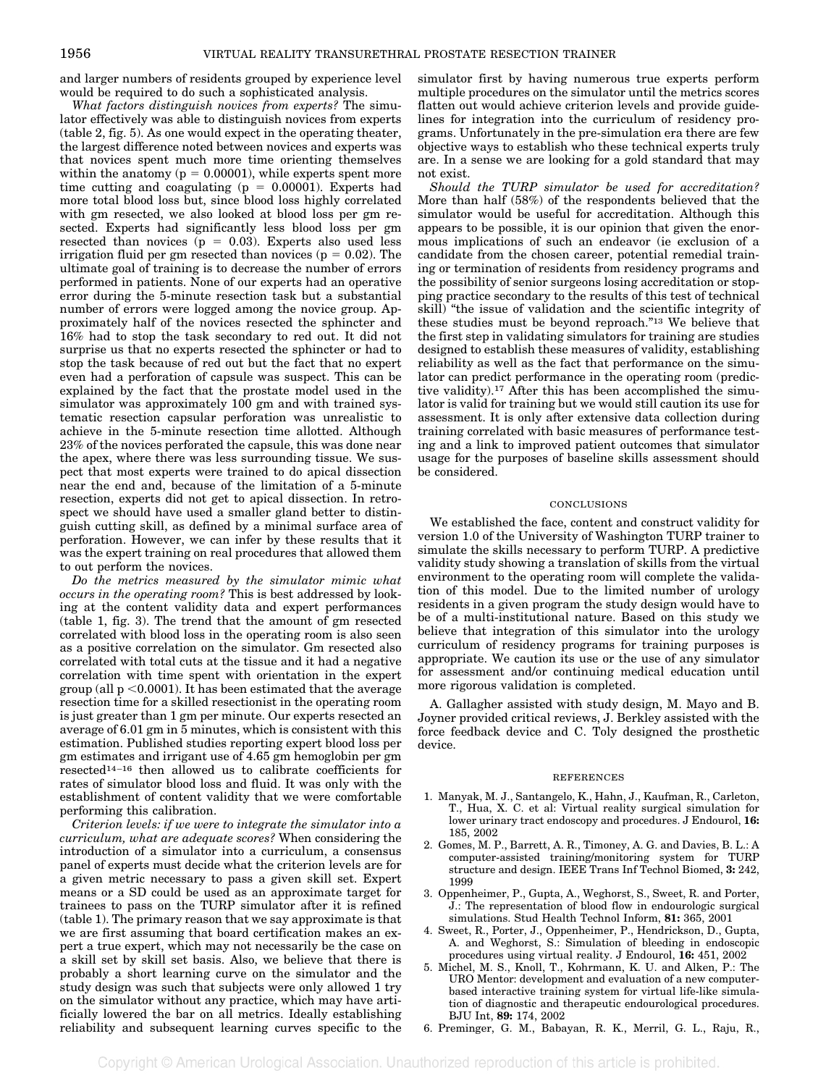and larger numbers of residents grouped by experience level would be required to do such a sophisticated analysis.

What factors distinguish novices from experts? The simulator effectively was able to distinguish novices from experts (table 2, fig. 5). As one would expect in the operating theater, the largest difference noted between novices and experts was that novices spent much more time orienting themselves within the anatomy  $(p = 0.00001)$ , while experts spent more time cutting and coagulating  $(p = 0.00001)$ . Experts had more total blood loss but, since blood loss highly correlated with gm resected, we also looked at blood loss per gm resected. Experts had significantly less blood loss per gm resected than novices  $(p = 0.03)$ . Experts also used less irrigation fluid per gm resected than novices  $(p = 0.02)$ . The ultimate goal of training is to decrease the number of errors performed in patients. None of our experts had an operative error during the 5-minute resection task but a substantial number of errors were logged among the novice group. Approximately half of the novices resected the sphincter and 16% had to stop the task secondary to red out. It did not surprise us that no experts resected the sphincter or had to stop the task because of red out but the fact that no expert even had a perforation of capsule was suspect. This can be explained by the fact that the prostate model used in the simulator was approximately 100 gm and with trained systematic resection capsular perforation was unrealistic to achieve in the 5-minute resection time allotted. Although 23% of the novices perforated the capsule, this was done near the apex, where there was less surrounding tissue. We suspect that most experts were trained to do apical dissection near the end and, because of the limitation of a 5-minute resection, experts did not get to apical dissection. In retrospect we should have used a smaller gland better to distinguish cutting skill, as defined by a minimal surface area of perforation. However, we can infer by these results that it was the expert training on real procedures that allowed them to out perform the novices.

*Do the metrics measured by the simulator mimic what occurs in the operating room?* This is best addressed by looking at the content validity data and expert performances (table 1, fig. 3). The trend that the amount of gm resected correlated with blood loss in the operating room is also seen as a positive correlation on the simulator. Gm resected also correlated with total cuts at the tissue and it had a negative correlation with time spent with orientation in the expert group (all  $p < 0.0001$ ). It has been estimated that the average resection time for a skilled resectionist in the operating room is just greater than 1 gm per minute. Our experts resected an average of 6.01 gm in 5 minutes, which is consistent with this estimation. Published studies reporting expert blood loss per gm estimates and irrigant use of 4.65 gm hemoglobin per gm resected14 –16 then allowed us to calibrate coefficients for rates of simulator blood loss and fluid. It was only with the establishment of content validity that we were comfortable performing this calibration.

*Criterion levels: if we were to integrate the simulator into a curriculum, what are adequate scores?* When considering the introduction of a simulator into a curriculum, a consensus panel of experts must decide what the criterion levels are for a given metric necessary to pass a given skill set. Expert means or a SD could be used as an approximate target for trainees to pass on the TURP simulator after it is refined  $(table 1)$ . The primary reason that we say approximate is that we are first assuming that board certification makes an expert a true expert, which may not necessarily be the case on a skill set by skill set basis. Also, we believe that there is probably a short learning curve on the simulator and the study design was such that subjects were only allowed 1 try on the simulator without any practice, which may have artificially lowered the bar on all metrics. Ideally establishing reliability and subsequent learning curves specific to the simulator first by having numerous true experts perform multiple procedures on the simulator until the metrics scores flatten out would achieve criterion levels and provide guidelines for integration into the curriculum of residency programs. Unfortunately in the pre-simulation era there are few objective ways to establish who these technical experts truly are. In a sense we are looking for a gold standard that may not exist.

*Should the TURP simulator be used for accreditation?* More than half (58%) of the respondents believed that the simulator would be useful for accreditation. Although this appears to be possible, it is our opinion that given the enormous implications of such an endeavor (ie exclusion of a candidate from the chosen career, potential remedial training or termination of residents from residency programs and the possibility of senior surgeons losing accreditation or stopping practice secondary to the results of this test of technical skill) "the issue of validation and the scientific integrity of these studies must be beyond reproach."13 We believe that the first step in validating simulators for training are studies designed to establish these measures of validity, establishing reliability as well as the fact that performance on the simulator can predict performance in the operating room (predictive validity).<sup>17</sup> After this has been accomplished the simulator is valid for training but we would still caution its use for assessment. It is only after extensive data collection during training correlated with basic measures of performance testing and a link to improved patient outcomes that simulator usage for the purposes of baseline skills assessment should be considered.

### **CONCLUSIONS**

We established the face, content and construct validity for version 1.0 of the University of Washington TURP trainer to simulate the skills necessary to perform TURP. A predictive validity study showing a translation of skills from the virtual environment to the operating room will complete the validation of this model. Due to the limited number of urology residents in a given program the study design would have to be of a multi-institutional nature. Based on this study we believe that integration of this simulator into the urology curriculum of residency programs for training purposes is appropriate. We caution its use or the use of any simulator for assessment and/or continuing medical education until more rigorous validation is completed.

A. Gallagher assisted with study design, M. Mayo and B. Joyner provided critical reviews, J. Berkley assisted with the force feedback device and C. Toly designed the prosthetic device.

#### REFERENCES

- 1. Manyak, M. J., Santangelo, K., Hahn, J., Kaufman, R., Carleton, T., Hua, X. C. et al: Virtual reality surgical simulation for lower urinary tract endoscopy and procedures. J Endourol, **16:** 185, 2002
- 2. Gomes, M. P., Barrett, A. R., Timoney, A. G. and Davies, B. L.: A computer-assisted training/monitoring system for TURP structure and design. IEEE Trans Inf Technol Biomed, **3:** 242, 1999
- 3. Oppenheimer, P., Gupta, A., Weghorst, S., Sweet, R. and Porter, J.: The representation of blood flow in endourologic surgical simulations. Stud Health Technol Inform, **81:** 365, 2001
- 4. Sweet, R., Porter, J., Oppenheimer, P., Hendrickson, D., Gupta, A. and Weghorst, S.: Simulation of bleeding in endoscopic procedures using virtual reality. J Endourol, **16:** 451, 2002
- 5. Michel, M. S., Knoll, T., Kohrmann, K. U. and Alken, P.: The URO Mentor: development and evaluation of a new computerbased interactive training system for virtual life-like simulation of diagnostic and therapeutic endourological procedures. BJU Int, **89:** 174, 2002
- 6. Preminger, G. M., Babayan, R. K., Merril, G. L., Raju, R.,